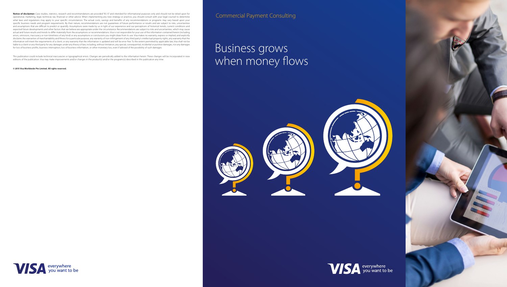Notice of disclaimer: Case studies, statistics, research and recommendations are provided "AS IS" and intended for informational purposes only and should not be relied upon for operational, marketing, legal, technical, tax, financial or other advice. When implementing any new strategy or practice, you should consult with your legal counsel to determine what laws and regulations may apply to your specific circumstances. The actual costs, savings and benefits of any recommendations or programs may vary based upon your specific business needs and program requirements. By their nature, recommendations are not guarantees of future performance or results and are subject to risks, uncertainties and assumptions that are difficult to predict or quantify. Assumptions were made by us in light of our experience and our perceptions of historical trends, current conditions and expected future developments and other factors that we believe are appropriate under the circumstance. Recommendations are subject to risks and uncertainties, which may cause actual and future results and trends to differ materially from the assumptions or recommendations. Visa is not responsible for your use of the information contained herein (including errors, omissions, inaccuracy or non-timeliness of any kind) or any assumptions or conclusions you might draw from its use. Visa makes no warranty, express or implied, and explicitly disclaims the warranties of merchantability and fitness for a particular purpose, any warranty of non-infringement of any third party's intellectual property rights, any warranty that the information will meet the requirements of a client, or any warranty that the information is updated and will be error free. To the extent permitted by applicable law, Visa shall not be liable to a client or any third party for any damages under any theory of law, including, without limitation, any special, consequential, incidental or punitive damages, nor any damages for loss of business profits, business interruption, loss of business information, or other monetary loss, even if advised of the possibility of such damages.

# Business grows when money flows









This publication could include technical inaccuracies or typographical errors. Changes are periodically added to the information herein. These changes will be incorporated in new editions of the publication. Visa may make improvements and/or changes in the product(s) and/or the programs(s) described in this publication any time.

### **© 2015 Visa Worldwide Pte Limited. All rights reserved.**

Commercial Payment Consulting